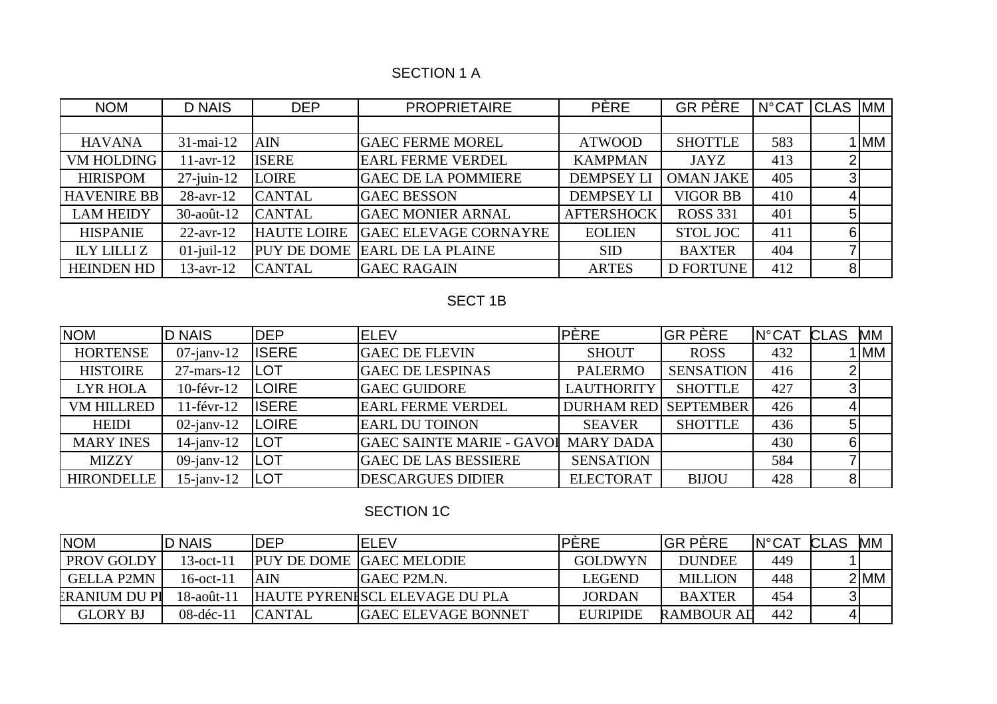# SECTION 1 A

| <b>NOM</b>         | <b>D NAIS</b>   | <b>DEP</b>         | <b>PROPRIETAIRE</b>          | <b>PÈRE</b>       | <b>GR PÈRE</b>   | $N^{\circ}$ CAT | <b>CLAS</b>    | <b>MM</b> |
|--------------------|-----------------|--------------------|------------------------------|-------------------|------------------|-----------------|----------------|-----------|
|                    |                 |                    |                              |                   |                  |                 |                |           |
| <b>HAVANA</b>      | 31-mai-12       | <b>AIN</b>         | <b>GAEC FERME MOREL</b>      | <b>ATWOOD</b>     | <b>SHOTTLE</b>   | 583             |                | 1 IMM     |
| <b>VM HOLDING</b>  | $11$ -avr- $12$ | <b>ISERE</b>       | <b>EARL FERME VERDEL</b>     | <b>KAMPMAN</b>    | <b>JAYZ</b>      | 413             |                |           |
| <b>HIRISPOM</b>    | $27$ -juin-12   | <b>LOIRE</b>       | <b>GAEC DE LA POMMIERE</b>   | <b>DEMPSEY LI</b> | <b>OMAN JAKE</b> | 405             | ◠              |           |
| <b>HAVENIRE BB</b> | 28-avr-12       | <b>CANTAL</b>      | <b>GAEC BESSON</b>           | <b>DEMPSEY LI</b> | <b>VIGOR BB</b>  | 410             |                |           |
| <b>LAM HEIDY</b>   | 30-août-12      | <b>CANTAL</b>      | <b>GAEC MONIER ARNAL</b>     | <b>AFTERSHOCK</b> | <b>ROSS 331</b>  | 401             |                |           |
| <b>HISPANIE</b>    | $22$ -avr-12    | <b>HAUTE LOIRE</b> | <b>GAEC ELEVAGE CORNAYRE</b> | <b>EOLIEN</b>     | <b>STOL JOC</b>  | 411             | 6              |           |
| <b>ILY LILLIZ</b>  | $01$ -juil-12   | <b>PUY DE DOME</b> | <b>EARL DE LA PLAINE</b>     | <b>SID</b>        | <b>BAXTER</b>    | 404             |                |           |
| <b>HEINDEN HD</b>  | $13$ -avr- $12$ | <b>CANTAL</b>      | <b>GAEC RAGAIN</b>           | <b>ARTES</b>      | <b>D FORTUNE</b> | 412             | 8 <sup>1</sup> |           |

# SECT 1B

| <b>NOM</b>        | <b>D NAIS</b>    | <b>DEP</b>   | <b>ELEV</b>                      | <b>PÈRE</b>                 | <b>GR PÈRE</b>   | IN°CAT CLAS |   | MM   |
|-------------------|------------------|--------------|----------------------------------|-----------------------------|------------------|-------------|---|------|
| <b>HORTENSE</b>   | $07$ -janv-12    | <b>ISERE</b> | <b>GAEC DE FLEVIN</b>            | <b>SHOUT</b>                | <b>ROSS</b>      | 432         |   | 1 MM |
| <b>HISTOIRE</b>   | $27$ -mars-12    | <b>ILOT</b>  | <b>GAEC DE LESPINAS</b>          | <b>PALERMO</b>              | <b>SENSATION</b> | 416         |   |      |
| <b>LYR HOLA</b>   | $10$ -févr- $12$ | <b>LOIRE</b> | <b>GAEC GUIDORE</b>              | <b>LAUTHORITY</b>           | <b>SHOTTLE</b>   | 427         |   |      |
| <b>VM HILLRED</b> | $11$ -févr- $12$ | <b>ISERE</b> | <b>EARL FERME VERDEL</b>         | <b>DURHAM RED SEPTEMBER</b> |                  | 426         |   |      |
| <b>HEIDI</b>      | $02$ -janv-12    | LOIRE        | <b>EARL DU TOINON</b>            | <b>SEAVER</b>               | <b>SHOTTLE</b>   | 436         |   |      |
| <b>MARY INES</b>  | $14$ -janv- $12$ | <b>ILOT</b>  | <b>GAEC SAINTE MARIE - GAVOI</b> | <b>MARY DADA</b>            |                  | 430         | 6 |      |
| <b>MIZZY</b>      | 09-janv-12       | <b>ILOT</b>  | <b>GAEC DE LAS BESSIERE</b>      | <b>SENSATION</b>            |                  | 584         |   |      |
| <b>HIRONDELLE</b> | $15$ -janv- $12$ | <b>ILOT</b>  | <b>DESCARGUES DIDIER</b>         | <b>ELECTORAT</b>            | <b>BIJOU</b>     | 428         |   |      |

## SECTION 1C

| <b>NOM</b>        | <b>ID NAIS</b> | <b>DEP</b>    | IELEV                                 | IPERE           | <b>IGR PËRE</b>   | $N^{\circ}$ CAT | <b>CLAS</b> | <b>MM</b> |
|-------------------|----------------|---------------|---------------------------------------|-----------------|-------------------|-----------------|-------------|-----------|
| PROV GOLDY        | $13-oct-11$    |               | <b>PUY DE DOME GAEC MELODIE</b>       | <b>GOLDWYN</b>  | <b>DUNDEE</b>     | 449             |             |           |
| <b>GELLA P2MN</b> | $16-oct-11$    | AIN           | IGAEC P2M.N.                          | <b>LEGEND</b>   | <b>MILLION</b>    | 448             |             | $2$ MM    |
| ERANIUM DU PI     | 18-août-11     |               | <b>HAUTE PYRENISCL ELEVAGE DU PLA</b> | <b>JORDAN</b>   | <b>BAXTER</b>     | 454             |             |           |
| <b>GLORY BJ</b>   | $08-dec-11$    | <b>CANTAL</b> | <b>GAEC ELEVAGE BONNET</b>            | <b>EURIPIDE</b> | <b>RAMBOUR AD</b> | 442             |             |           |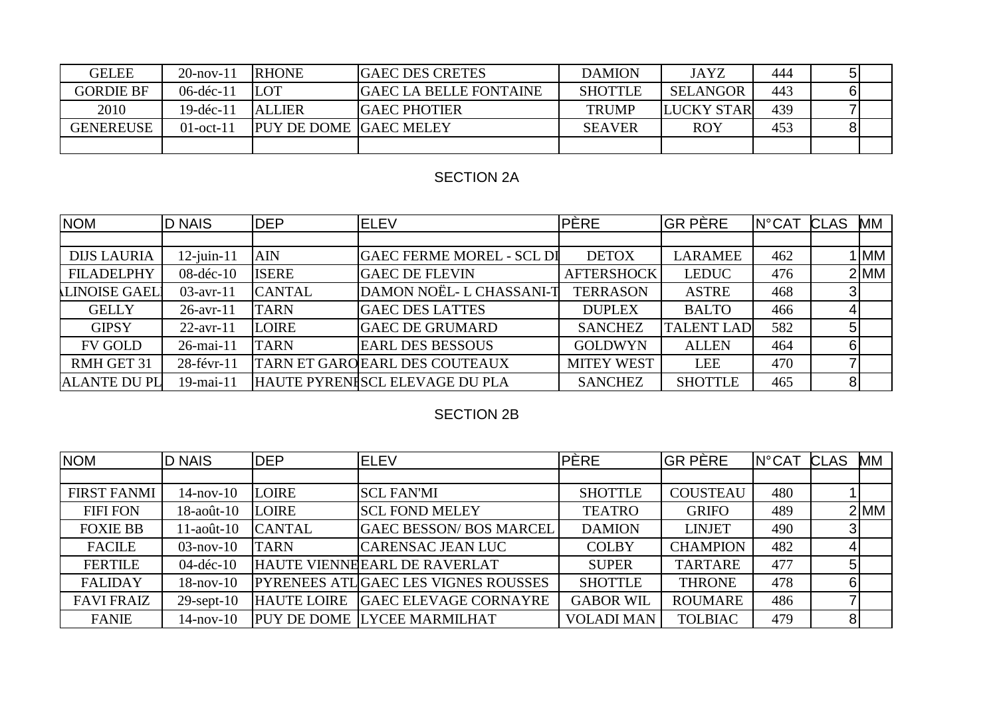| <b>GELEE</b>     | $20$ -nov-11 | <b>RHONE</b>                  | <b>GAEC DES CRETES</b>        | <b>DAMION</b>  | <b>JAYZ</b>       | 444 |  |
|------------------|--------------|-------------------------------|-------------------------------|----------------|-------------------|-----|--|
| <b>GORDIE BF</b> | $06$ -déc-11 | <b>LOT</b>                    | <b>GAEC LA BELLE FONTAINE</b> | <b>SHOTTLE</b> | <b>SELANGOR</b>   | 443 |  |
| 2010             | $19-dec-1$   | <b>ALLIER</b>                 | <b>IGAEC PHOTIER</b>          | <b>TRUMP</b>   | <b>LUCKY STAR</b> | 439 |  |
| <b>GENEREUSE</b> | $01$ -oct-11 | <b>PUY DE DOME GAEC MELEY</b> |                               | <b>SEAVER</b>  | <b>ROY</b>        | 453 |  |
|                  |              |                               |                               |                |                   |     |  |

## SECTION 2A

| <b>NOM</b>          | <b>D NAIS</b>    | <b>DEP</b>    | <b>IELEV</b>                     | <b>PÈRE</b>       | <b>GR PÈRE</b>    | N°CAT CLAS |                | МM         |
|---------------------|------------------|---------------|----------------------------------|-------------------|-------------------|------------|----------------|------------|
|                     |                  |               |                                  |                   |                   |            |                |            |
| <b>DIJS LAURIA</b>  | $12$ -juin- $11$ | <b>AIN</b>    | <b>GAEC FERME MOREL - SCL DI</b> | <b>DETOX</b>      | LARAMEE           | 462        |                | <b>IMM</b> |
| <b>FILADELPHY</b>   | 08-déc-10        | <b>ISERE</b>  | <b>GAEC DE FLEVIN</b>            | <b>AFTERSHOCK</b> | <b>LEDUC</b>      | 476        |                | $2$ MM     |
| <b>LINOISE GAEL</b> | $03$ -avr-11     | <b>CANTAL</b> | DAMON NOËL- L CHASSANI-T         | <b>TERRASON</b>   | <b>ASTRE</b>      | 468        |                |            |
| <b>GELLY</b>        | $26$ -avr- $11$  | <b>TARN</b>   | <b>GAEC DES LATTES</b>           | <b>DUPLEX</b>     | <b>BALTO</b>      | 466        |                |            |
| <b>GIPSY</b>        | $22$ -avr-11     | <b>LOIRE</b>  | <b>GAEC DE GRUMARD</b>           | <b>SANCHEZ</b>    | <b>TALENT LAD</b> | 582        | 5 <sup>1</sup> |            |
| <b>FV GOLD</b>      | 26-mai-11        | <b>TARN</b>   | <b>EARL DES BESSOUS</b>          | <b>GOLDWYN</b>    | <b>ALLEN</b>      | 464        | 6              |            |
| RMH GET 31          | 28-févr-11       |               | TARN ET GAROEARL DES COUTEAUX    | <b>MITEY WEST</b> | <b>LEE</b>        | 470        |                |            |
| <b>ALANTE DU PL</b> | 19-mai-11        |               | HAUTE PYRENISCL ELEVAGE DU PLA   | <b>SANCHEZ</b>    | <b>SHOTTLE</b>    | 465        | 8 <sup>1</sup> |            |

## SECTION 2B

| <b>NOM</b>        | <b>D NAIS</b>    | <b>DEP</b>         | <b>ELEV</b>                                 | <b>PÈRE</b>       | <b>GR PÈRE</b>  | <b>N°CAT</b> | <b>CLAS</b>    | МM     |
|-------------------|------------------|--------------------|---------------------------------------------|-------------------|-----------------|--------------|----------------|--------|
|                   |                  |                    |                                             |                   |                 |              |                |        |
| FIRST FANMI       | $14$ -nov- $10$  | <b>LOIRE</b>       | <b>SCL FAN'MI</b>                           | <b>SHOTTLE</b>    | <b>COUSTEAU</b> | 480          |                |        |
| <b>FIFI FON</b>   | $18$ -août- $10$ | LOIRE              | <b>SCL FOND MELEY</b>                       | <b>TEATRO</b>     | <b>GRIFO</b>    | 489          |                | $2$ MM |
| <b>FOXIE BB</b>   | $11$ -août- $10$ | <b>CANTAL</b>      | <b>GAEC BESSON/ BOS MARCEL</b>              | <b>DAMION</b>     | <b>LINJET</b>   | 490          | 3              |        |
| <b>FACILE</b>     | $03$ -nov-10     | <b>TARN</b>        | <b>CARENSAC JEAN LUC</b>                    | <b>COLBY</b>      | <b>CHAMPION</b> | 482          |                |        |
| <b>FERTILE</b>    | $04-dec-10$      |                    | <b>HAUTE VIENNEEARL DE RAVERLAT</b>         | <b>SUPER</b>      | <b>TARTARE</b>  | 477          |                |        |
| <b>FALIDAY</b>    | $18$ -nov- $10$  |                    | <b>PYRENEES ATLIGAEC LES VIGNES ROUSSES</b> | <b>SHOTTLE</b>    | <b>THRONE</b>   | 478          |                |        |
| <b>FAVI FRAIZ</b> | $29$ -sept-10    | <b>HAUTE LOIRE</b> | <b>GAEC ELEVAGE CORNAYRE</b>                | <b>GABOR WIL</b>  | <b>ROUMARE</b>  | 486          |                |        |
| <b>FANIE</b>      | $14$ -nov- $10$  |                    | PUY DE DOME LYCEE MARMILHAT                 | <b>VOLADI MAN</b> | <b>TOLBIAC</b>  | 479          | 8 <sub>l</sub> |        |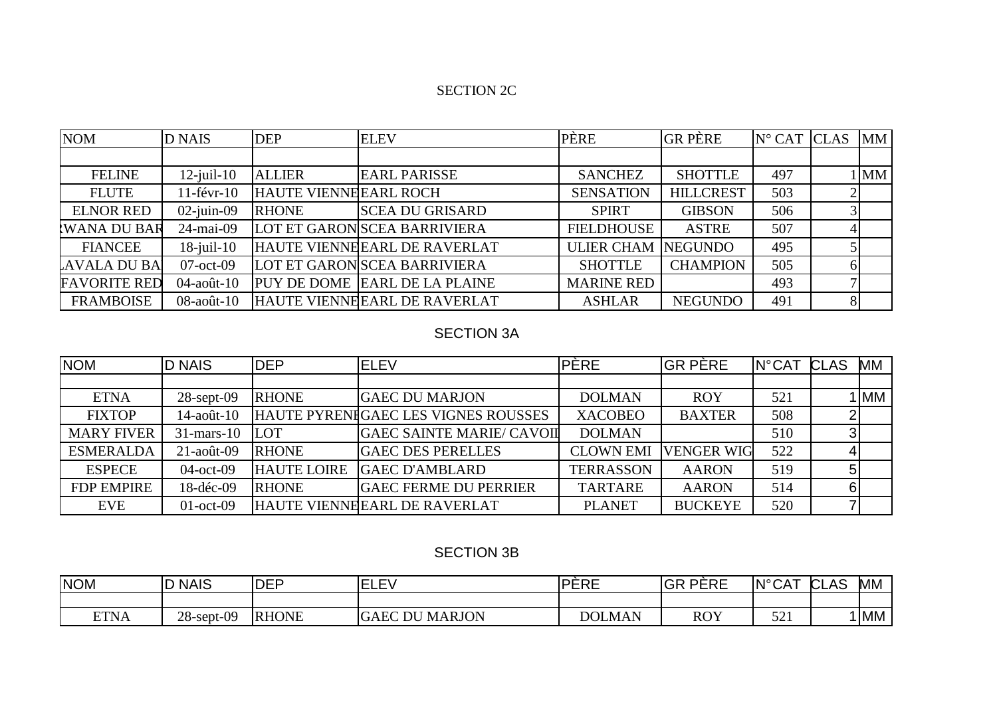#### SECTION 2C

| <b>NOM</b>          | <b>D NAIS</b>    | <b>DEP</b>                   | <b>ELEV</b>                          | PÈRE                      | <b>GR PÈRE</b>   | $N^{\circ}$ CAT CLAS |   | <b>MM</b> |
|---------------------|------------------|------------------------------|--------------------------------------|---------------------------|------------------|----------------------|---|-----------|
|                     |                  |                              |                                      |                           |                  |                      |   |           |
| <b>FELINE</b>       | $12$ -juil-10    | <b>ALLIER</b>                | <b>EARL PARISSE</b>                  | <b>SANCHEZ</b>            | <b>SHOTTLE</b>   | 497                  |   | $1$ MM    |
| <b>FLUTE</b>        | $11$ -févr- $10$ | <b>HAUTE VIENNEEARL ROCH</b> |                                      | <b>SENSATION</b>          | <b>HILLCREST</b> | 503                  |   |           |
| <b>ELNOR RED</b>    | $02$ -juin-09    | <b>RHONE</b>                 | <b>SCEA DU GRISARD</b>               | <b>SPIRT</b>              | <b>GIBSON</b>    | 506                  |   |           |
| WANA DU BAR         | 24-mai-09        |                              | LOT ET GARON SCEA BARRIVIERA         | <b>FIELDHOUSE</b>         | <b>ASTRE</b>     | 507                  |   |           |
| <b>FIANCEE</b>      | $18$ -juil- $10$ |                              | HAUTE VIENNEEARL DE RAVERLAT         | <b>ULIER CHAM NEGUNDO</b> |                  | 495                  |   |           |
| AVALA DU BA         | $07$ -oct-09     |                              | LOT ET GARON SCEA BARRIVIERA         | <b>SHOTTLE</b>            | <b>CHAMPION</b>  | 505                  |   |           |
| <b>FAVORITE RED</b> | $04$ -août-10    |                              | <b>PUY DE DOME EARL DE LA PLAINE</b> | <b>MARINE RED</b>         |                  | 493                  |   |           |
| <b>FRAMBOISE</b>    | $08$ -août- $10$ |                              | HAUTE VIENNEEARL DE RAVERLAT         | <b>ASHLAR</b>             | <b>NEGUNDO</b>   | 491                  | 8 |           |

## SECTION 3A

| <b>NOM</b>        | <b>D NAIS</b>   | <b>DEP</b>         | <b>ELEV</b>                         | <b>PÈRE</b>      | <b>GR PÈRE</b>    | <b>N°CAT</b> | <b>CLAS</b> | МM   |
|-------------------|-----------------|--------------------|-------------------------------------|------------------|-------------------|--------------|-------------|------|
|                   |                 |                    |                                     |                  |                   |              |             |      |
| <b>ETNA</b>       | $28$ -sept-09   | <b>RHONE</b>       | <b>GAEC DU MARJON</b>               | <b>DOLMAN</b>    | <b>ROY</b>        | 521          |             | 1 MM |
| <b>FIXTOP</b>     | 14-août-10      |                    | HAUTE PYRENIGAEC LES VIGNES ROUSSES | <b>XACOBEO</b>   | <b>BAXTER</b>     | 508          |             |      |
| <b>MARY FIVER</b> | $31$ -mars-10   | <b>LOT</b>         | <b>GAEC SAINTE MARIE/ CAVOII</b>    | <b>DOLMAN</b>    |                   | 510          |             |      |
| <b>ESMERALDA</b>  | $21$ -août-09   | <b>RHONE</b>       | <b>GAEC DES PERELLES</b>            | <b>CLOWN EMI</b> | <b>VENGER WIG</b> | 522          |             |      |
| <b>ESPECE</b>     | $04$ -oct- $09$ | <b>HAUTE LOIRE</b> | <b>GAEC D'AMBLARD</b>               | <b>TERRASSON</b> | <b>AARON</b>      | 519          |             |      |
| <b>FDP EMPIRE</b> | 18-déc-09       | <b>RHONE</b>       | <b>GAEC FERME DU PERRIER</b>        | <b>TARTARE</b>   | <b>AARON</b>      | 514          |             |      |
| <b>EVE</b>        | $01$ -oct-09    |                    | <b>HAUTE VIENNEEARL DE RAVERLAT</b> | <b>PLANET</b>    | <b>BUCKEYE</b>    | 520          |             |      |

#### SECTION 3B

| <b>NOM</b>  | <b>NAIS</b>   | <b>DEP</b>   | $\mathbf{r}$<br>m.<br>⊢<br>$\vdash$ M<br>---- | DEDE<br>LINL. | DEDE<br>IGR<br>◝ヽ∟<br>ີ | $IN^{\circ}CAT$<br>ັບ⊏            | Δ⊂<br>$\sim$<br>ぃ니<br>¬⊾ | MM.  |
|-------------|---------------|--------------|-----------------------------------------------|---------------|-------------------------|-----------------------------------|--------------------------|------|
|             |               |              |                                               |               |                         |                                   |                          |      |
| <b>ETNA</b> | $28$ -sept-09 | <b>RHONE</b> | <b>ARJON</b><br>M.<br><b>GAEC</b><br>DU       | <b>DOLMAN</b> | <b>ROY</b>              | $\epsilon \wedge \epsilon$<br>◡◡▴ |                          | 1 MM |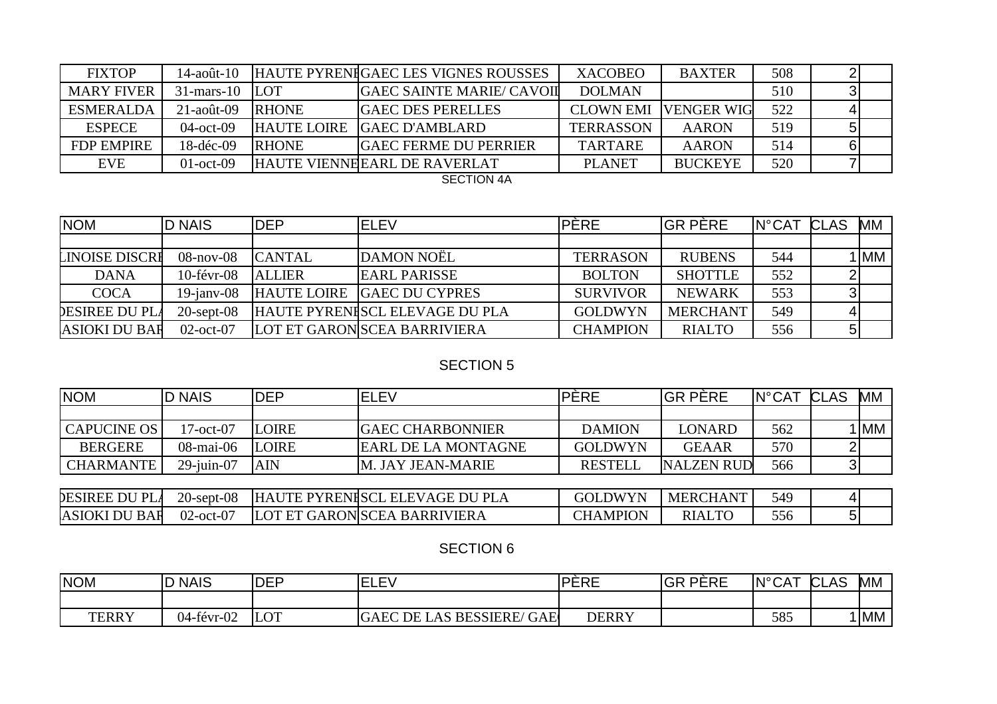| <b>FIXTOP</b>     | $14$ -août- $10$ |                    | HAUTE PYRENIGAEC LES VIGNES ROUSSES               | <b>XACOBEO</b>   | <b>BAXTER</b>     | 508 |  |
|-------------------|------------------|--------------------|---------------------------------------------------|------------------|-------------------|-----|--|
| <b>MARY FIVER</b> | $31$ -mars-10    | <b>LOT</b>         | <b>GAEC SAINTE MARIE/ CAVOIL</b>                  | <b>DOLMAN</b>    |                   | 510 |  |
| ESMERALDA         | $21$ -août-09    | <b>RHONE</b>       | <b>GAEC DES PERELLES</b>                          | <b>CLOWN EMI</b> | <b>VENGER WIG</b> | 522 |  |
| <b>ESPECE</b>     | $04$ -oct- $09$  | <b>HAUTE LOIRE</b> | <b>IGAEC D'AMBLARD</b>                            | <b>TERRASSON</b> | <b>AARON</b>      | 519 |  |
| <b>FDP EMPIRE</b> | $18-dec-09$      | <b>RHONE</b>       | <b>GAEC FERME DU PERRIER</b>                      | <b>TARTARE</b>   | AARON             | 514 |  |
| <b>EVE</b>        | $01$ -oct-09     |                    | <b>HAUTE VIENNHEARL DE RAVERLAT</b>               | <b>PLANET</b>    | <b>BUCKEYE</b>    | 520 |  |
|                   |                  |                    | $\bigcap_{n=1}^{\infty}$ $\bigcap_{n=1}^{\infty}$ |                  |                   |     |  |

SECTION 4A

| <b>NOM</b>           | <b>D NAIS</b>    | <b>DEP</b>         | <b>ELEV</b>                    | PÈRE            | <b>IGR PÈRE</b> | <b>IN°CAT</b> | CLAS | МM   |
|----------------------|------------------|--------------------|--------------------------------|-----------------|-----------------|---------------|------|------|
|                      |                  |                    |                                |                 |                 |               |      |      |
| LINOISE DISCRI       | $08$ -nov- $08$  | <b>CANTAL</b>      | DAMON NOËL                     | <b>TERRASON</b> | <b>RUBENS</b>   | 544           |      | I MM |
| <b>DANA</b>          | $10$ -févr- $08$ | <b>ALLIER</b>      | <b>EARL PARISSE</b>            | <b>BOLTON</b>   | <b>SHOTTLE</b>  | 552           |      |      |
| <b>COCA</b>          | $19$ -jany-08    | <b>HAUTE LOIRE</b> | <b>GAEC DU CYPRES</b>          | <b>SURVIVOR</b> | <b>NEWARK</b>   | 553           |      |      |
| DESIREE DU PLA       | $20$ -sept-08    |                    | HAUTE PYRENISCL ELEVAGE DU PLA | <b>GOLDWYN</b>  | <b>MERCHANT</b> | 549           |      |      |
| <b>ASIOKI DU BAF</b> | $02$ -oct- $07$  |                    | LOT ET GARON SCEA BARRIVIERA   | <b>CHAMPION</b> | <b>RIALTO</b>   | 556           |      |      |

# **SECTION 5**

| <b>NOM</b>            | <b>D NAIS</b>    | <b>IDEP</b>  | <b>ELEV</b>                    | IPÈRE           | <b>IGR PÈRE</b>   | <b>IN°CAT</b> | CLAS | <b>MM</b> |
|-----------------------|------------------|--------------|--------------------------------|-----------------|-------------------|---------------|------|-----------|
|                       |                  |              |                                |                 |                   |               |      |           |
| <b>CAPUCINE OS</b>    | 17-oct-07        | <b>LOIRE</b> | <b>GAEC CHARBONNIER</b>        | <b>DAMION</b>   | <b>LONARD</b>     | 562           |      | <b>MM</b> |
| <b>BERGERE</b>        | 08-mai-06        | <b>LOIRE</b> | <b>EARL DE LA MONTAGNE</b>     | <b>GOLDWYN</b>  | <b>GEAAR</b>      | 570           |      |           |
| <b>CHARMANTE</b>      | $29$ -juin-07    | <b>AIN</b>   | M. JAY JEAN-MARIE              | <b>RESTELL</b>  | <b>NALZEN RUD</b> | 566           |      |           |
|                       |                  |              |                                |                 |                   |               |      |           |
| <b>DESIREE DU PLA</b> | $20$ -sept- $08$ |              | HAUTE PYRENISCL ELEVAGE DU PLA | <b>GOLDWYN</b>  | <b>MERCHANT</b>   | 549           |      |           |
| <b>ASIOKI DU BAF</b>  | $02$ -oct-07     |              | LOT ET GARON SCEA BARRIVIERA   | <b>CHAMPION</b> | <b>RIALTO</b>     | 556           |      |           |

## **SECTION 6**

| <b>NOM</b>   | <b>NAIS</b> | <b>DEP</b> | F١<br>-<br>----                                                       | <b>DEDE</b><br>ERE | <b>GR PERE</b> | <b>IN°CAT</b> | ΔS<br>n'<br>CA.<br>◡∟ | МM   |
|--------------|-------------|------------|-----------------------------------------------------------------------|--------------------|----------------|---------------|-----------------------|------|
|              |             |            |                                                                       |                    |                |               |                       |      |
| <b>TERRY</b> | 04-févr-02  | <b>LOT</b> | ' GAE<br><b>BESSIERE</b><br>DE<br><b>GAEC</b><br>$\sim$<br><b>LAS</b> | <b>DERRY</b>       |                | 585           |                       | ' MM |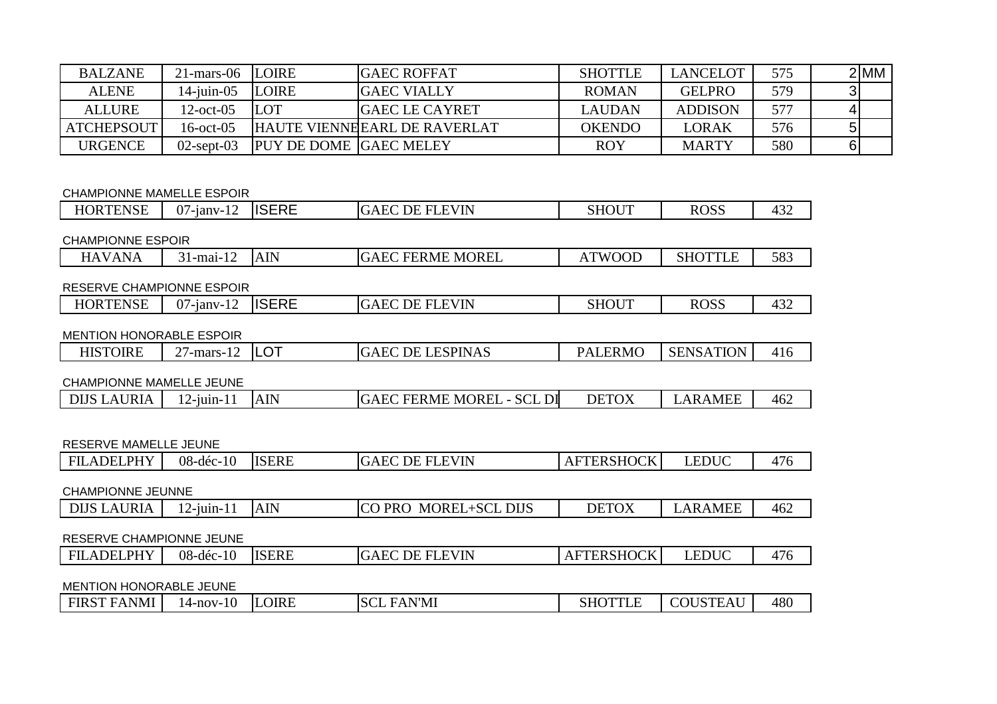| <b>BALZANE</b>    | $21$ -mars-06 LOIRE |                               | <b>IGAEC ROFFAT</b>                 | <b>SHOTTLE</b> | <b>LANCELOT</b> | 575 | 2 MM |
|-------------------|---------------------|-------------------------------|-------------------------------------|----------------|-----------------|-----|------|
| <b>ALENE</b>      | $14$ -juin-05       | <b>LOIRE</b>                  | <b>GAEC VIALLY</b>                  | <b>ROMAN</b>   | <b>GELPRO</b>   | 579 |      |
| <b>ALLURE</b>     | $12$ -oct-05        | <b>LOT</b>                    | <b>IGAEC LE CAYRET</b>              | LAUDAN         | <b>ADDISON</b>  | 577 |      |
| <b>ATCHEPSOUT</b> | $16$ -oct-05        |                               | <b>HAUTE VIENNHEARL DE RAVERLAT</b> | <b>OKENDO</b>  | LORAK           | 576 |      |
| <b>URGENCE</b>    | $02$ -sept- $03$    | <b>PUY DE DOME GAEC MELEY</b> |                                     | <b>ROY</b>     | <b>MARTY</b>    | 580 |      |

#### CHAMPIONNE MAMELLE ESPOIR

| <b>HORTENSE</b>                 | $07$ -janv-12    | <b>ISERE</b> | <b>GAEC DE FLEVIN</b>            | <b>SHOUT</b>      | <b>ROSS</b>      | 432 |
|---------------------------------|------------------|--------------|----------------------------------|-------------------|------------------|-----|
| <b>CHAMPIONNE ESPOIR</b>        |                  |              |                                  |                   |                  |     |
| <b>HAVANA</b>                   | 31-mai-12        | <b>AIN</b>   | <b>GAEC FERME MOREL</b>          | <b>ATWOOD</b>     | <b>SHOTTLE</b>   | 583 |
| RESERVE CHAMPIONNE ESPOIR       |                  |              |                                  |                   |                  |     |
| <b>HORTENSE</b>                 | $07$ -janv-12    | <b>ISERE</b> | <b>GAEC DE FLEVIN</b>            | <b>SHOUT</b>      | <b>ROSS</b>      | 432 |
| <b>MENTION HONORABLE ESPOIR</b> |                  |              |                                  |                   |                  |     |
| <b>HISTOIRE</b>                 | $27$ -mars-12    | <b>LOT</b>   | <b>GAEC DE LESPINAS</b>          | <b>PALERMO</b>    | <b>SENSATION</b> | 416 |
| CHAMPIONNE MAMELLE JEUNE        |                  |              |                                  |                   |                  |     |
| <b>DIJS LAURIA</b>              | $12$ -juin- $11$ | <b>AIN</b>   | <b>GAEC FERME MOREL - SCL DI</b> | <b>DETOX</b>      | <b>LARAMEE</b>   | 462 |
| <b>RESERVE MAMELLE JEUNE</b>    |                  |              |                                  |                   |                  |     |
| <b>FILADELPHY</b>               | $08 - 10$        | <b>ISERE</b> | <b>GAEC DE FLEVIN</b>            | <b>AFTERSHOCK</b> | <b>LEDUC</b>     | 476 |
| <b>CHAMPIONNE JEUNNE</b>        |                  |              |                                  |                   |                  |     |
| <b>DIJS LAURIA</b>              | $12$ -juin- $11$ | <b>AIN</b>   | CO PRO MOREL+SCL DIJS            | <b>DETOX</b>      | <b>LARAMEE</b>   | 462 |
| RESERVE CHAMPIONNE JEUNE        |                  |              |                                  |                   |                  |     |
| <b>FILADELPHY</b>               | $08-dec-10$      | <b>ISERE</b> | <b>GAEC DE FLEVIN</b>            | <b>AFTERSHOCK</b> | <b>LEDUC</b>     | 476 |
| <b>MENTION HONORABLE JEUNE</b>  |                  |              |                                  |                   |                  |     |
|                                 |                  |              |                                  |                   |                  |     |

| <b>FIRST FANMI</b> | $14$ -nov- $10$ | <b>LOIRE</b> | FAN'MI<br><b>SCL</b><br>$H^{\prime}$ $\Delta$ | $\alpha$ it $\alpha$ teti<br>-SHC<br>1 L L | COUSTEAL | 480 |
|--------------------|-----------------|--------------|-----------------------------------------------|--------------------------------------------|----------|-----|
|--------------------|-----------------|--------------|-----------------------------------------------|--------------------------------------------|----------|-----|